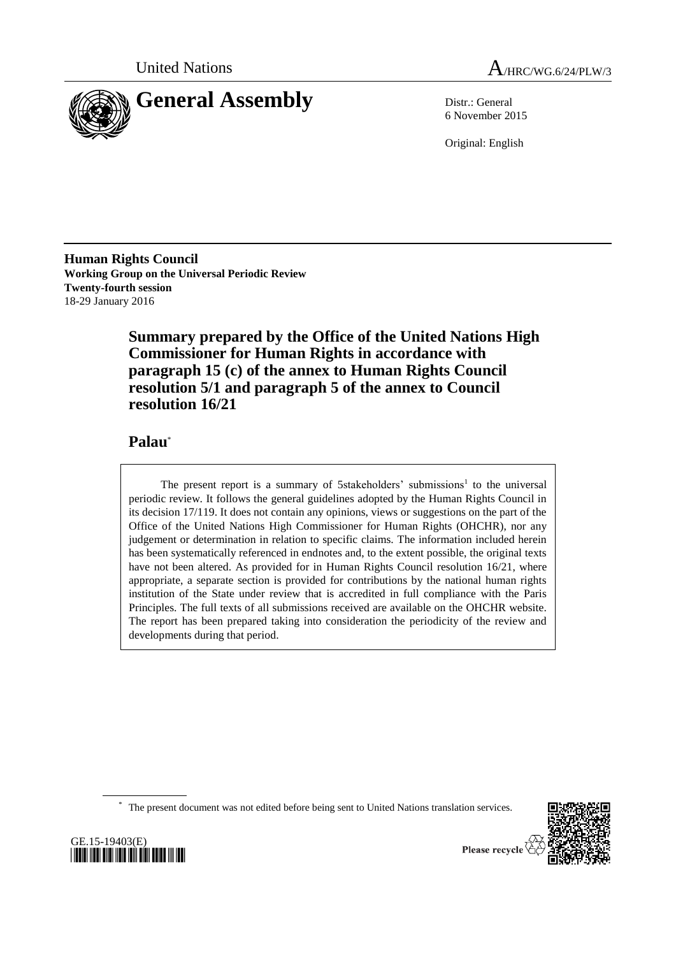



6 November 2015

Original: English

**Human Rights Council Working Group on the Universal Periodic Review Twenty-fourth session** 18-29 January 2016

> **Summary prepared by the Office of the United Nations High Commissioner for Human Rights in accordance with paragraph 15 (c) of the annex to Human Rights Council resolution 5/1 and paragraph 5 of the annex to Council resolution 16/21**

# **Palau**\*

The present report is a summary of 5stakeholders' submissions<sup>1</sup> to the universal periodic review. It follows the general guidelines adopted by the Human Rights Council in its decision 17/119. It does not contain any opinions, views or suggestions on the part of the Office of the United Nations High Commissioner for Human Rights (OHCHR), nor any judgement or determination in relation to specific claims. The information included herein has been systematically referenced in endnotes and, to the extent possible, the original texts have not been altered. As provided for in Human Rights Council resolution  $16/21$ , where appropriate, a separate section is provided for contributions by the national human rights institution of the State under review that is accredited in full compliance with the Paris Principles. The full texts of all submissions received are available on the OHCHR website. The report has been prepared taking into consideration the periodicity of the review and developments during that period.

\* The present document was not edited before being sent to United Nations translation services.



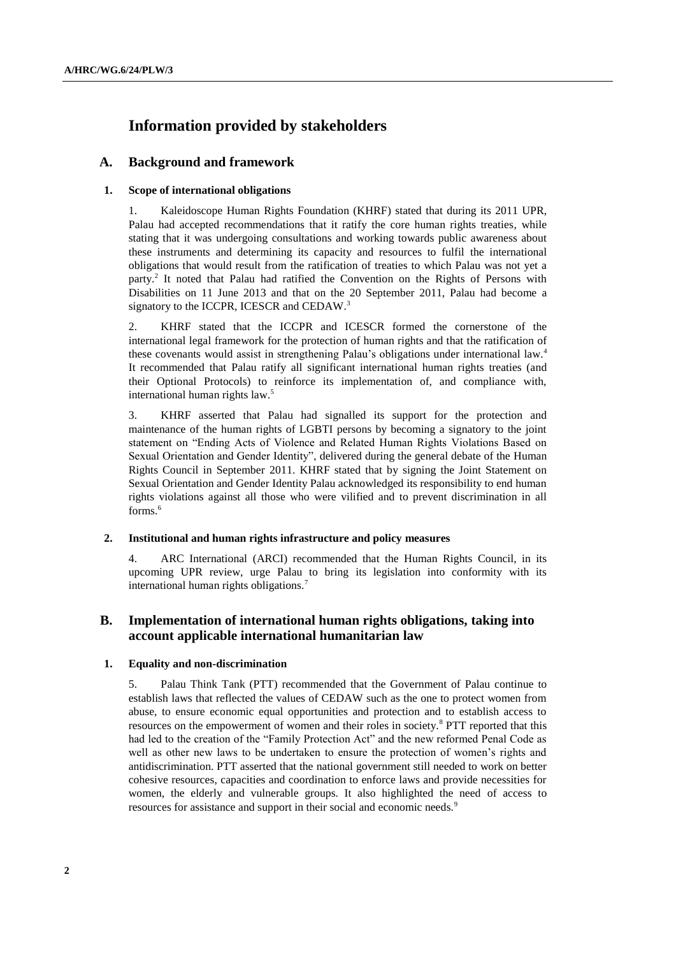# **Information provided by stakeholders**

# **A. Background and framework**

## **1. Scope of international obligations**

1. Kaleidoscope Human Rights Foundation (KHRF) stated that during its 2011 UPR, Palau had accepted recommendations that it ratify the core human rights treaties, while stating that it was undergoing consultations and working towards public awareness about these instruments and determining its capacity and resources to fulfil the international obligations that would result from the ratification of treaties to which Palau was not yet a party.<sup>2</sup> It noted that Palau had ratified the Convention on the Rights of Persons with Disabilities on 11 June 2013 and that on the 20 September 2011, Palau had become a signatory to the ICCPR, ICESCR and CEDAW.<sup>3</sup>

2. KHRF stated that the ICCPR and ICESCR formed the cornerstone of the international legal framework for the protection of human rights and that the ratification of these covenants would assist in strengthening Palau's obligations under international law.<sup>4</sup> It recommended that Palau ratify all significant international human rights treaties (and their Optional Protocols) to reinforce its implementation of, and compliance with, international human rights law.<sup>5</sup>

3. KHRF asserted that Palau had signalled its support for the protection and maintenance of the human rights of LGBTI persons by becoming a signatory to the joint statement on "Ending Acts of Violence and Related Human Rights Violations Based on Sexual Orientation and Gender Identity", delivered during the general debate of the Human Rights Council in September 2011. KHRF stated that by signing the Joint Statement on Sexual Orientation and Gender Identity Palau acknowledged its responsibility to end human rights violations against all those who were vilified and to prevent discrimination in all forms.<sup>6</sup>

#### **2. Institutional and human rights infrastructure and policy measures**

4. ARC International (ARCI) recommended that the Human Rights Council, in its upcoming UPR review, urge Palau to bring its legislation into conformity with its international human rights obligations.<sup>7</sup>

# **B. Implementation of international human rights obligations, taking into account applicable international humanitarian law**

## **1. Equality and non-discrimination**

5. Palau Think Tank (PTT) recommended that the Government of Palau continue to establish laws that reflected the values of CEDAW such as the one to protect women from abuse, to ensure economic equal opportunities and protection and to establish access to resources on the empowerment of women and their roles in society.<sup>8</sup> PTT reported that this had led to the creation of the "Family Protection Act" and the new reformed Penal Code as well as other new laws to be undertaken to ensure the protection of women's rights and antidiscrimination. PTT asserted that the national government still needed to work on better cohesive resources, capacities and coordination to enforce laws and provide necessities for women, the elderly and vulnerable groups. It also highlighted the need of access to resources for assistance and support in their social and economic needs.<sup>9</sup>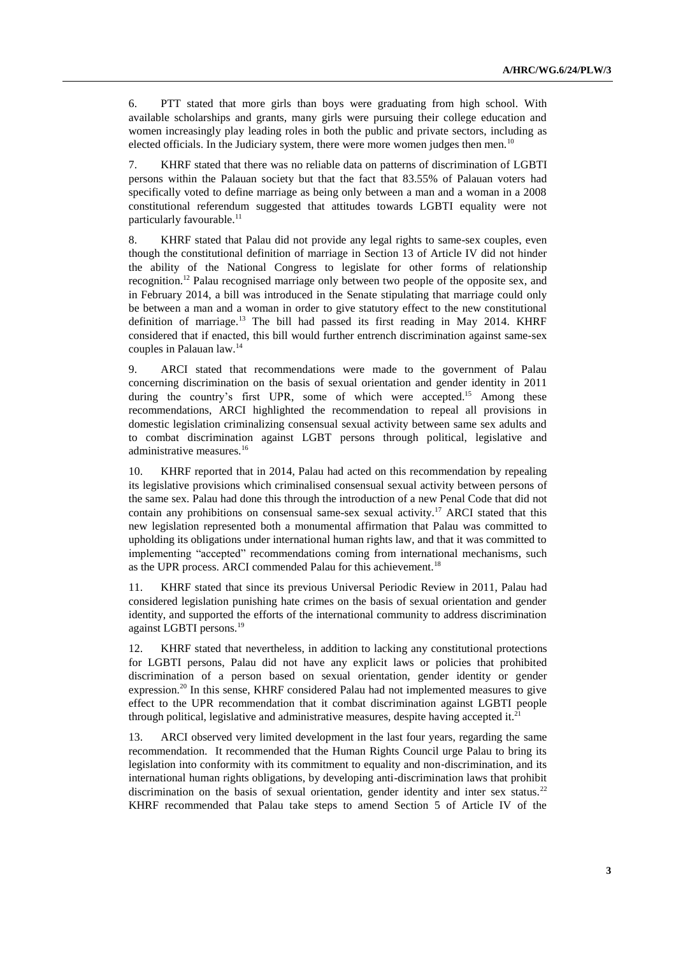6. PTT stated that more girls than boys were graduating from high school. With available scholarships and grants, many girls were pursuing their college education and women increasingly play leading roles in both the public and private sectors, including as elected officials. In the Judiciary system, there were more women judges then men.<sup>10</sup>

7. KHRF stated that there was no reliable data on patterns of discrimination of LGBTI persons within the Palauan society but that the fact that 83.55% of Palauan voters had specifically voted to define marriage as being only between a man and a woman in a 2008 constitutional referendum suggested that attitudes towards LGBTI equality were not particularly favourable.<sup>11</sup>

8. KHRF stated that Palau did not provide any legal rights to same-sex couples, even though the constitutional definition of marriage in Section 13 of Article IV did not hinder the ability of the National Congress to legislate for other forms of relationship recognition.<sup>12</sup> Palau recognised marriage only between two people of the opposite sex, and in February 2014, a bill was introduced in the Senate stipulating that marriage could only be between a man and a woman in order to give statutory effect to the new constitutional definition of marriage.<sup>13</sup> The bill had passed its first reading in May 2014. KHRF considered that if enacted, this bill would further entrench discrimination against same-sex couples in Palauan law.<sup>14</sup>

9. ARCI stated that recommendations were made to the government of Palau concerning discrimination on the basis of sexual orientation and gender identity in 2011 during the country's first UPR, some of which were accepted.<sup>15</sup> Among these recommendations, ARCI highlighted the recommendation to repeal all provisions in domestic legislation criminalizing consensual sexual activity between same sex adults and to combat discrimination against LGBT persons through political, legislative and administrative measures.<sup>16</sup>

10. KHRF reported that in 2014, Palau had acted on this recommendation by repealing its legislative provisions which criminalised consensual sexual activity between persons of the same sex. Palau had done this through the introduction of a new Penal Code that did not contain any prohibitions on consensual same-sex sexual activity.<sup>17</sup> ARCI stated that this new legislation represented both a monumental affirmation that Palau was committed to upholding its obligations under international human rights law, and that it was committed to implementing "accepted" recommendations coming from international mechanisms, such as the UPR process. ARCI commended Palau for this achievement.<sup>18</sup>

11. KHRF stated that since its previous Universal Periodic Review in 2011, Palau had considered legislation punishing hate crimes on the basis of sexual orientation and gender identity, and supported the efforts of the international community to address discrimination against LGBTI persons.<sup>19</sup>

12. KHRF stated that nevertheless, in addition to lacking any constitutional protections for LGBTI persons, Palau did not have any explicit laws or policies that prohibited discrimination of a person based on sexual orientation, gender identity or gender expression.<sup>20</sup> In this sense, KHRF considered Palau had not implemented measures to give effect to the UPR recommendation that it combat discrimination against LGBTI people through political, legislative and administrative measures, despite having accepted it.<sup>21</sup>

13. ARCI observed very limited development in the last four years, regarding the same recommendation. It recommended that the Human Rights Council urge Palau to bring its legislation into conformity with its commitment to equality and non‐discrimination, and its international human rights obligations, by developing anti-discrimination laws that prohibit discrimination on the basis of sexual orientation, gender identity and inter sex status.<sup>22</sup> KHRF recommended that Palau take steps to amend Section 5 of Article IV of the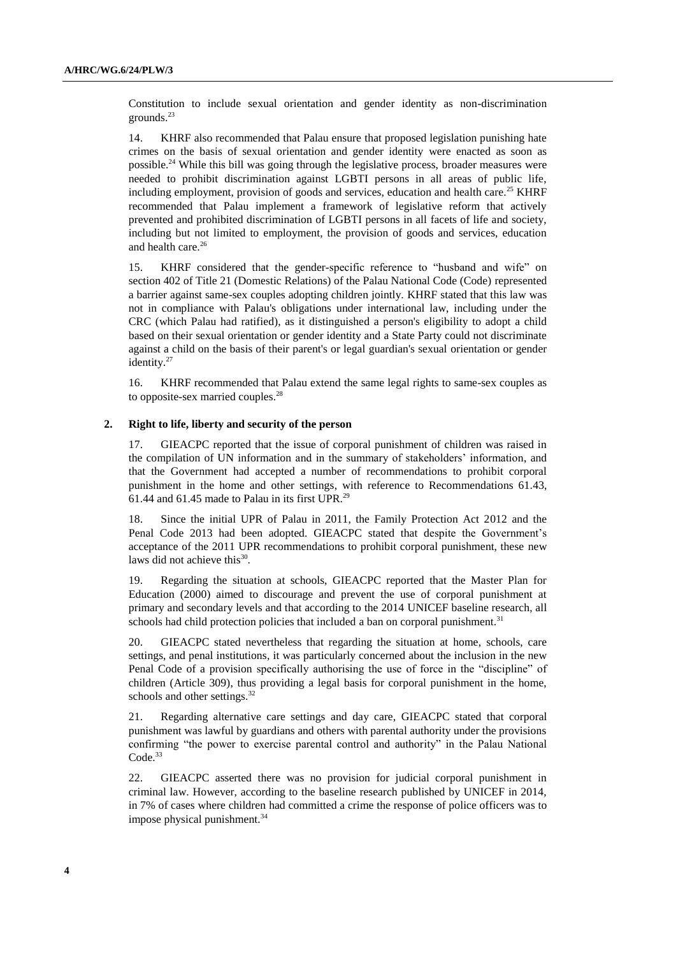Constitution to include sexual orientation and gender identity as non-discrimination grounds.<sup>23</sup>

14. KHRF also recommended that Palau ensure that proposed legislation punishing hate crimes on the basis of sexual orientation and gender identity were enacted as soon as possible.<sup>24</sup> While this bill was going through the legislative process, broader measures were needed to prohibit discrimination against LGBTI persons in all areas of public life, including employment, provision of goods and services, education and health care.<sup>25</sup> KHRF recommended that Palau implement a framework of legislative reform that actively prevented and prohibited discrimination of LGBTI persons in all facets of life and society, including but not limited to employment, the provision of goods and services, education and health care.<sup>26</sup>

15. KHRF considered that the gender-specific reference to "husband and wife" on section 402 of Title 21 (Domestic Relations) of the Palau National Code (Code) represented a barrier against same-sex couples adopting children jointly. KHRF stated that this law was not in compliance with Palau's obligations under international law, including under the CRC (which Palau had ratified), as it distinguished a person's eligibility to adopt a child based on their sexual orientation or gender identity and a State Party could not discriminate against a child on the basis of their parent's or legal guardian's sexual orientation or gender identity.<sup>27</sup>

16. KHRF recommended that Palau extend the same legal rights to same-sex couples as to opposite-sex married couples.<sup>28</sup>

#### **2. Right to life, liberty and security of the person**

17. GIEACPC reported that the issue of corporal punishment of children was raised in the compilation of UN information and in the summary of stakeholders' information, and that the Government had accepted a number of recommendations to prohibit corporal punishment in the home and other settings, with reference to Recommendations 61.43, 61.44 and 61.45 made to Palau in its first UPR. 29

18. Since the initial UPR of Palau in 2011, the Family Protection Act 2012 and the Penal Code 2013 had been adopted. GIEACPC stated that despite the Government's acceptance of the 2011 UPR recommendations to prohibit corporal punishment, these new laws did not achieve this<sup>30</sup>.

19. Regarding the situation at schools, GIEACPC reported that the Master Plan for Education (2000) aimed to discourage and prevent the use of corporal punishment at primary and secondary levels and that according to the 2014 UNICEF baseline research, all schools had child protection policies that included a ban on corporal punishment.<sup>31</sup>

20. GIEACPC stated nevertheless that regarding the situation at home, schools, care settings, and penal institutions, it was particularly concerned about the inclusion in the new Penal Code of a provision specifically authorising the use of force in the "discipline" of children (Article 309), thus providing a legal basis for corporal punishment in the home, schools and other settings.<sup>32</sup>

21. Regarding alternative care settings and day care, GIEACPC stated that corporal punishment was lawful by guardians and others with parental authority under the provisions confirming "the power to exercise parental control and authority" in the Palau National Code. 33

22. GIEACPC asserted there was no provision for judicial corporal punishment in criminal law. However, according to the baseline research published by UNICEF in 2014, in 7% of cases where children had committed a crime the response of police officers was to impose physical punishment.<sup>34</sup>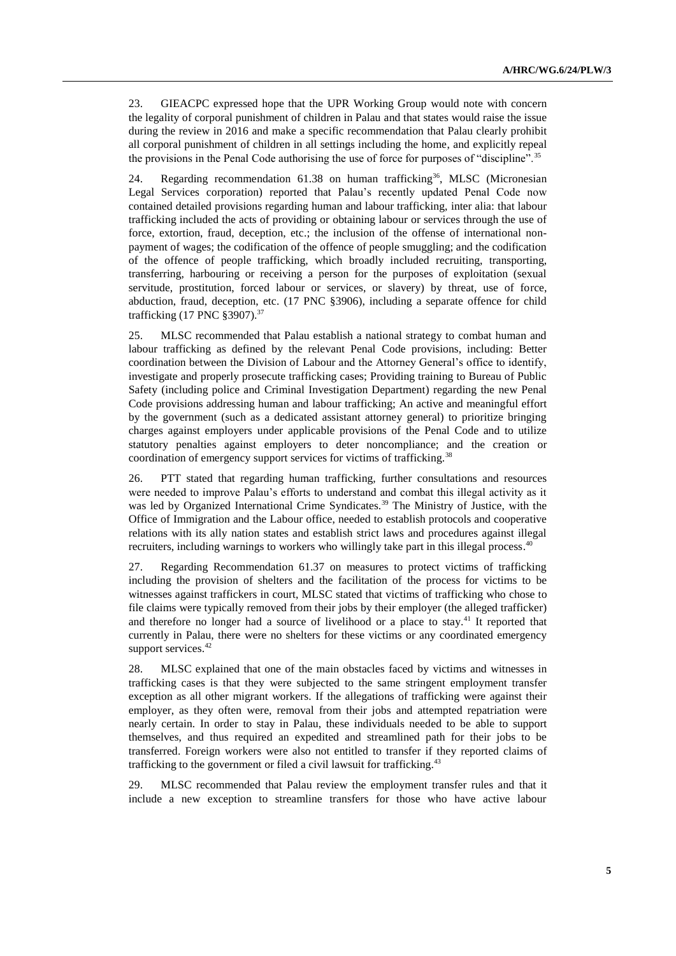23. GIEACPC expressed hope that the UPR Working Group would note with concern the legality of corporal punishment of children in Palau and that states would raise the issue during the review in 2016 and make a specific recommendation that Palau clearly prohibit all corporal punishment of children in all settings including the home, and explicitly repeal the provisions in the Penal Code authorising the use of force for purposes of "discipline".<sup>35</sup>

24. Regarding recommendation  $61.38$  on human trafficking<sup>36</sup>, MLSC (Micronesian Legal Services corporation) reported that Palau's recently updated Penal Code now contained detailed provisions regarding human and labour trafficking, inter alia: that labour trafficking included the acts of providing or obtaining labour or services through the use of force, extortion, fraud, deception, etc.; the inclusion of the offense of international nonpayment of wages; the codification of the offence of people smuggling; and the codification of the offence of people trafficking, which broadly included recruiting, transporting, transferring, harbouring or receiving a person for the purposes of exploitation (sexual servitude, prostitution, forced labour or services, or slavery) by threat, use of force, abduction, fraud, deception, etc. (17 PNC §3906), including a separate offence for child trafficking (17 PNC §3907).<sup>37</sup>

25. MLSC recommended that Palau establish a national strategy to combat human and labour trafficking as defined by the relevant Penal Code provisions, including: Better coordination between the Division of Labour and the Attorney General's office to identify, investigate and properly prosecute trafficking cases; Providing training to Bureau of Public Safety (including police and Criminal Investigation Department) regarding the new Penal Code provisions addressing human and labour trafficking; An active and meaningful effort by the government (such as a dedicated assistant attorney general) to prioritize bringing charges against employers under applicable provisions of the Penal Code and to utilize statutory penalties against employers to deter noncompliance; and the creation or coordination of emergency support services for victims of trafficking.<sup>38</sup>

26. PTT stated that regarding human trafficking, further consultations and resources were needed to improve Palau's efforts to understand and combat this illegal activity as it was led by Organized International Crime Syndicates.<sup>39</sup> The Ministry of Justice, with the Office of Immigration and the Labour office, needed to establish protocols and cooperative relations with its ally nation states and establish strict laws and procedures against illegal recruiters, including warnings to workers who willingly take part in this illegal process.<sup>40</sup>

27. Regarding Recommendation 61.37 on measures to protect victims of trafficking including the provision of shelters and the facilitation of the process for victims to be witnesses against traffickers in court, MLSC stated that victims of trafficking who chose to file claims were typically removed from their jobs by their employer (the alleged trafficker) and therefore no longer had a source of livelihood or a place to stay.<sup>41</sup> It reported that currently in Palau, there were no shelters for these victims or any coordinated emergency support services.<sup>42</sup>

28. MLSC explained that one of the main obstacles faced by victims and witnesses in trafficking cases is that they were subjected to the same stringent employment transfer exception as all other migrant workers. If the allegations of trafficking were against their employer, as they often were, removal from their jobs and attempted repatriation were nearly certain. In order to stay in Palau, these individuals needed to be able to support themselves, and thus required an expedited and streamlined path for their jobs to be transferred. Foreign workers were also not entitled to transfer if they reported claims of trafficking to the government or filed a civil lawsuit for trafficking.<sup>43</sup>

29. MLSC recommended that Palau review the employment transfer rules and that it include a new exception to streamline transfers for those who have active labour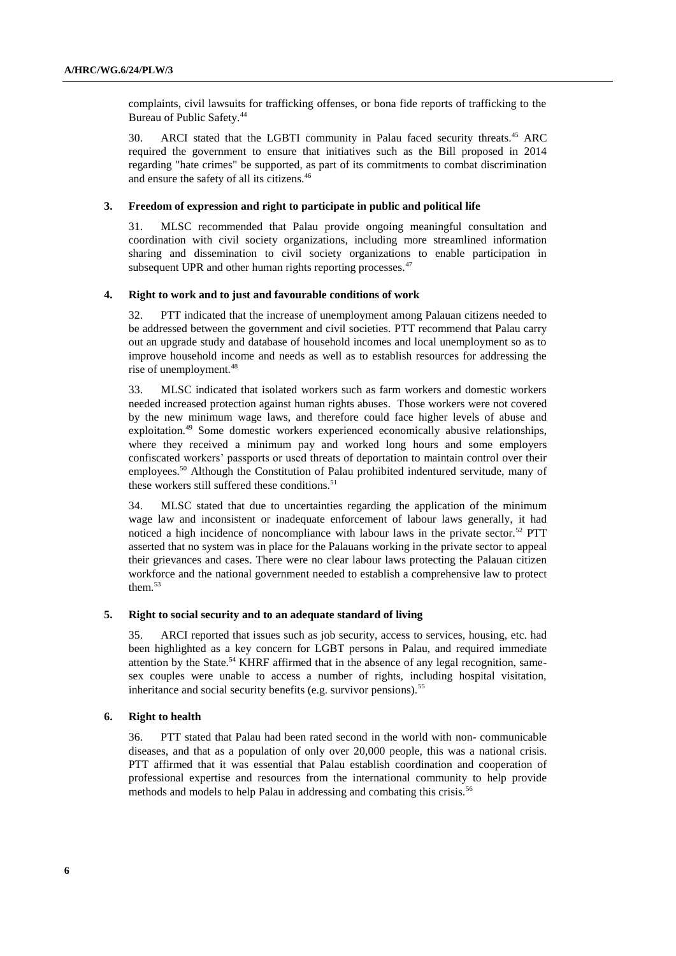complaints, civil lawsuits for trafficking offenses, or bona fide reports of trafficking to the Bureau of Public Safety.<sup>44</sup>

30. ARCI stated that the LGBTI community in Palau faced security threats.<sup>45</sup> ARC required the government to ensure that initiatives such as the Bill proposed in 2014 regarding "hate crimes" be supported, as part of its commitments to combat discrimination and ensure the safety of all its citizens.<sup>46</sup>

#### **3. Freedom of expression and right to participate in public and political life**

31. MLSC recommended that Palau provide ongoing meaningful consultation and coordination with civil society organizations, including more streamlined information sharing and dissemination to civil society organizations to enable participation in subsequent UPR and other human rights reporting processes.<sup>47</sup>

#### **4. Right to work and to just and favourable conditions of work**

32. PTT indicated that the increase of unemployment among Palauan citizens needed to be addressed between the government and civil societies. PTT recommend that Palau carry out an upgrade study and database of household incomes and local unemployment so as to improve household income and needs as well as to establish resources for addressing the rise of unemployment.<sup>48</sup>

33. MLSC indicated that isolated workers such as farm workers and domestic workers needed increased protection against human rights abuses. Those workers were not covered by the new minimum wage laws, and therefore could face higher levels of abuse and exploitation.<sup>49</sup> Some domestic workers experienced economically abusive relationships, where they received a minimum pay and worked long hours and some employers confiscated workers' passports or used threats of deportation to maintain control over their employees.<sup>50</sup> Although the Constitution of Palau prohibited indentured servitude, many of these workers still suffered these conditions. $51$ 

34. MLSC stated that due to uncertainties regarding the application of the minimum wage law and inconsistent or inadequate enforcement of labour laws generally, it had noticed a high incidence of noncompliance with labour laws in the private sector.<sup>52</sup> PTT asserted that no system was in place for the Palauans working in the private sector to appeal their grievances and cases. There were no clear labour laws protecting the Palauan citizen workforce and the national government needed to establish a comprehensive law to protect them. $53$ 

### **5. Right to social security and to an adequate standard of living**

35. ARCI reported that issues such as job security, access to services, housing, etc. had been highlighted as a key concern for LGBT persons in Palau, and required immediate attention by the State.<sup>54</sup> KHRF affirmed that in the absence of any legal recognition, samesex couples were unable to access a number of rights, including hospital visitation, inheritance and social security benefits (e.g. survivor pensions).<sup>55</sup>

#### **6. Right to health**

36. PTT stated that Palau had been rated second in the world with non- communicable diseases, and that as a population of only over 20,000 people, this was a national crisis. PTT affirmed that it was essential that Palau establish coordination and cooperation of professional expertise and resources from the international community to help provide methods and models to help Palau in addressing and combating this crisis.<sup>56</sup>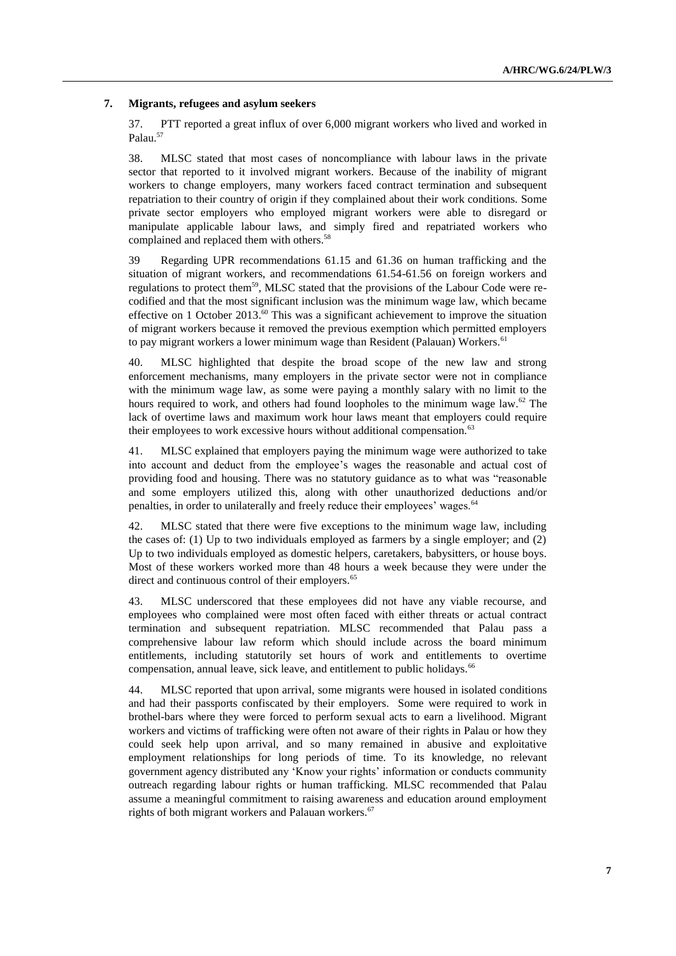### **7. Migrants, refugees and asylum seekers**

37. PTT reported a great influx of over 6,000 migrant workers who lived and worked in Palau.<sup>57</sup>

38. MLSC stated that most cases of noncompliance with labour laws in the private sector that reported to it involved migrant workers. Because of the inability of migrant workers to change employers, many workers faced contract termination and subsequent repatriation to their country of origin if they complained about their work conditions. Some private sector employers who employed migrant workers were able to disregard or manipulate applicable labour laws, and simply fired and repatriated workers who complained and replaced them with others.<sup>58</sup>

39 Regarding UPR recommendations 61.15 and 61.36 on human trafficking and the situation of migrant workers, and recommendations 61.54-61.56 on foreign workers and regulations to protect them<sup>59</sup>, MLSC stated that the provisions of the Labour Code were recodified and that the most significant inclusion was the minimum wage law, which became effective on 1 October 2013.<sup>60</sup> This was a significant achievement to improve the situation of migrant workers because it removed the previous exemption which permitted employers to pay migrant workers a lower minimum wage than Resident (Palauan) Workers.<sup>61</sup>

40. MLSC highlighted that despite the broad scope of the new law and strong enforcement mechanisms, many employers in the private sector were not in compliance with the minimum wage law, as some were paying a monthly salary with no limit to the hours required to work, and others had found loopholes to the minimum wage law.<sup>62</sup> The lack of overtime laws and maximum work hour laws meant that employers could require their employees to work excessive hours without additional compensation.<sup>63</sup>

41. MLSC explained that employers paying the minimum wage were authorized to take into account and deduct from the employee's wages the reasonable and actual cost of providing food and housing. There was no statutory guidance as to what was "reasonable and some employers utilized this, along with other unauthorized deductions and/or penalties, in order to unilaterally and freely reduce their employees' wages.<sup>64</sup>

MLSC stated that there were five exceptions to the minimum wage law, including the cases of: (1) Up to two individuals employed as farmers by a single employer; and (2) Up to two individuals employed as domestic helpers, caretakers, babysitters, or house boys. Most of these workers worked more than 48 hours a week because they were under the direct and continuous control of their employers.<sup>65</sup>

43. MLSC underscored that these employees did not have any viable recourse, and employees who complained were most often faced with either threats or actual contract termination and subsequent repatriation. MLSC recommended that Palau pass a comprehensive labour law reform which should include across the board minimum entitlements, including statutorily set hours of work and entitlements to overtime compensation, annual leave, sick leave, and entitlement to public holidays.<sup>66</sup>

44. MLSC reported that upon arrival, some migrants were housed in isolated conditions and had their passports confiscated by their employers. Some were required to work in brothel-bars where they were forced to perform sexual acts to earn a livelihood. Migrant workers and victims of trafficking were often not aware of their rights in Palau or how they could seek help upon arrival, and so many remained in abusive and exploitative employment relationships for long periods of time. To its knowledge, no relevant government agency distributed any 'Know your rights' information or conducts community outreach regarding labour rights or human trafficking. MLSC recommended that Palau assume a meaningful commitment to raising awareness and education around employment rights of both migrant workers and Palauan workers.<sup>67</sup>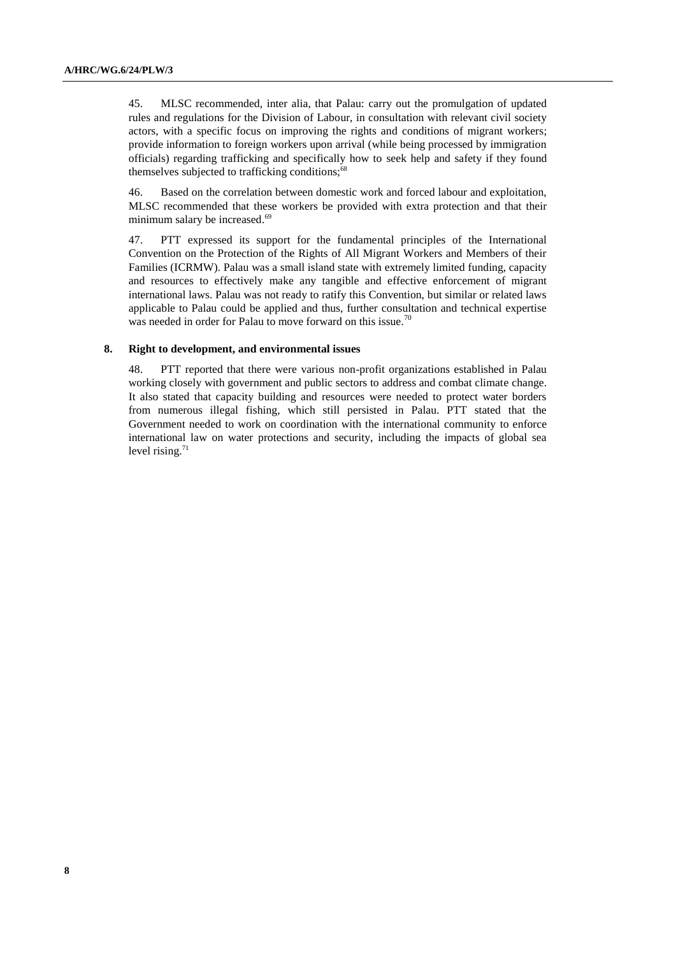45. MLSC recommended, inter alia, that Palau: carry out the promulgation of updated rules and regulations for the Division of Labour, in consultation with relevant civil society actors, with a specific focus on improving the rights and conditions of migrant workers; provide information to foreign workers upon arrival (while being processed by immigration officials) regarding trafficking and specifically how to seek help and safety if they found themselves subjected to trafficking conditions;<sup>68</sup>

46. Based on the correlation between domestic work and forced labour and exploitation, MLSC recommended that these workers be provided with extra protection and that their minimum salary be increased. 69

47. PTT expressed its support for the fundamental principles of the International Convention on the Protection of the Rights of All Migrant Workers and Members of their Families (ICRMW). Palau was a small island state with extremely limited funding, capacity and resources to effectively make any tangible and effective enforcement of migrant international laws. Palau was not ready to ratify this Convention, but similar or related laws applicable to Palau could be applied and thus, further consultation and technical expertise was needed in order for Palau to move forward on this issue.<sup>70</sup>

#### **8. Right to development, and environmental issues**

48. PTT reported that there were various non-profit organizations established in Palau working closely with government and public sectors to address and combat climate change. It also stated that capacity building and resources were needed to protect water borders from numerous illegal fishing, which still persisted in Palau. PTT stated that the Government needed to work on coordination with the international community to enforce international law on water protections and security, including the impacts of global sea level rising.<sup>71</sup>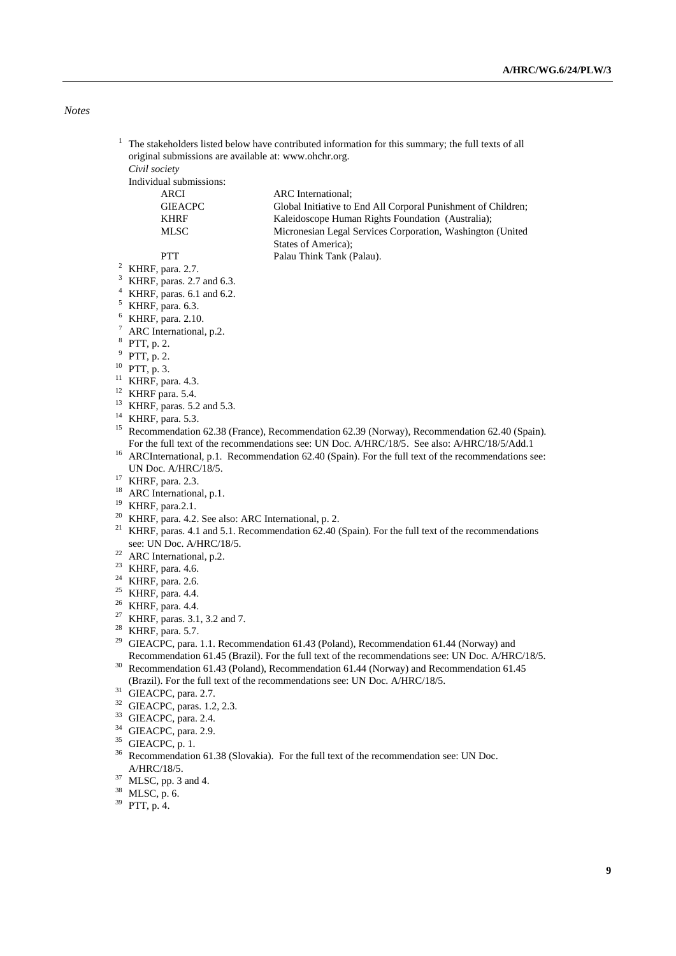*Notes*

- $1$  The stakeholders listed below have contributed information for this summary; the full texts of all original submissions are available at: [www.ohchr.org.](http://www.ohchr.org/)
	- *Civil society*

Individual submissions:

| ARCI    | <b>ARC</b> International:                                     |
|---------|---------------------------------------------------------------|
| GIEACPC | Global Initiative to End All Corporal Punishment of Children; |
| KHRF    | Kaleidoscope Human Rights Foundation (Australia):             |
| MLSC    | Micronesian Legal Services Corporation, Washington (United    |
|         | States of America):                                           |
| PTT     | Palau Think Tank (Palau).                                     |
|         |                                                               |

- <sup>2</sup> KHRF, para. 2.7. KHRF, paras. 2.7 and 6.3.
- $4$  KHRF, paras. 6.1 and 6.2.
- $5$  KHRF, para. 6.3.
- <sup>6</sup> KHRF, para. 2.10.
- 
- $7$  ARC International, p.2.
- 8 PTT, p. 2.
- 9 PTT, p. 2.
- $10$  PTT, p. 3.
- <sup>11</sup> KHRF, para. 4.3.
- <sup>12</sup> KHRF para. 5.4.
- <sup>13</sup> KHRF, paras. 5.2 and 5.3.
- <sup>14</sup> KHRF, para. 5.3.
- <sup>15</sup> Recommendation 62.38 (France), Recommendation 62.39 (Norway), Recommendation 62.40 (Spain). For the full text of the recommendations see: UN Doc. A/HRC/18/5. See also: A/HRC/18/5/Add.1
- <sup>16</sup> ARCInternational, p.1. Recommendation 62.40 (Spain). For the full text of the recommendations see: UN Doc. A/HRC/18/5.
- <sup>17</sup> KHRF, para. 2.3.
- <sup>18</sup> ARC International, p.1.
- <sup>19</sup> KHRF, para.2.1.
- <sup>20</sup> KHRF, para. 4.2. See also: ARC International, p. 2.
- <sup>21</sup> KHRF, paras. 4.1 and 5.1. Recommendation 62.40 (Spain). For the full text of the recommendations see: UN Doc. A/HRC/18/5.
- <sup>22</sup> ARC International, p.2.
- <sup>23</sup> KHRF, para. 4.6.<br><sup>24</sup> KHRF, para. 2.6.
- KHRF, para. 2.6.
- <sup>25</sup> KHRF, para. 4.4.
- $26$  KHRF, para. 4.4.
- <sup>27</sup> KHRF, paras. 3.1, 3.2 and 7.
- <sup>28</sup> KHRF, para. 5.7.
- <sup>29</sup> GIEACPC, para. 1.1. Recommendation 61.43 (Poland), Recommendation 61.44 (Norway) and Recommendation 61.45 (Brazil). For the full text of the recommendations see: UN Doc. A/HRC/18/5.
- <sup>30</sup> Recommendation 61.43 (Poland), Recommendation 61.44 (Norway) and Recommendation 61.45 (Brazil). For the full text of the recommendations see: UN Doc. A/HRC/18/5.
- <sup>31</sup> GIEACPC, para. 2.7.
- <sup>32</sup> GIEACPC, paras. 1.2, 2.3.
- <sup>33</sup> GIEACPC, para. 2.4.
- <sup>34</sup> GIEACPC, para. 2.9.
- <sup>35</sup> GIEACPC, p. 1.
- <sup>36</sup> Recommendation 61.38 (Slovakia). For the full text of the recommendation see: UN Doc. A/HRC/18/5.
- <sup>37</sup> MLSC, pp. 3 and 4.
- <sup>38</sup> MLSC, p. 6.
- <sup>39</sup> PTT, p. 4.